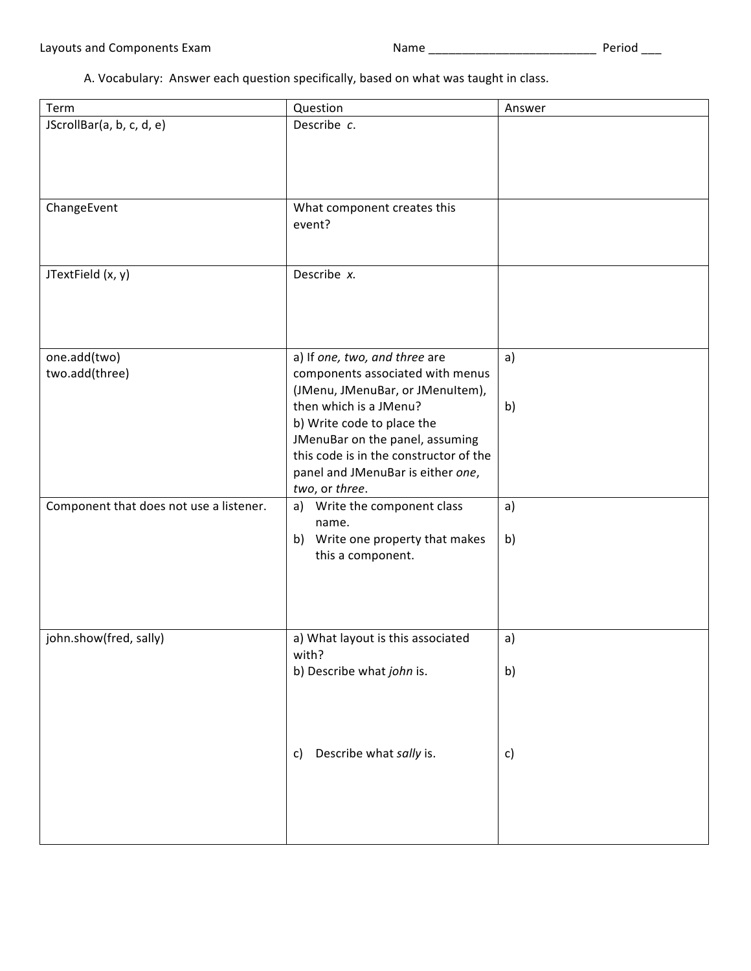A. Vocabulary: Answer each question specifically, based on what was taught in class.

| Term                                    | Question                                                                                                                                                                                                                                                                                          | Answer   |
|-----------------------------------------|---------------------------------------------------------------------------------------------------------------------------------------------------------------------------------------------------------------------------------------------------------------------------------------------------|----------|
| JScrollBar(a, b, c, d, e)               | Describe c.                                                                                                                                                                                                                                                                                       |          |
| ChangeEvent                             | What component creates this<br>event?                                                                                                                                                                                                                                                             |          |
| JTextField (x, y)                       | Describe x.                                                                                                                                                                                                                                                                                       |          |
| one.add(two)<br>two.add(three)          | a) If one, two, and three are<br>components associated with menus<br>(JMenu, JMenuBar, or JMenuItem),<br>then which is a JMenu?<br>b) Write code to place the<br>JMenuBar on the panel, assuming<br>this code is in the constructor of the<br>panel and JMenuBar is either one,<br>two, or three. | a)<br>b) |
| Component that does not use a listener. | a) Write the component class<br>name.<br>Write one property that makes<br>b)<br>this a component.                                                                                                                                                                                                 | a)<br>b) |
| john.show(fred, sally)                  | a) What layout is this associated<br>with?<br>b) Describe what john is.                                                                                                                                                                                                                           | a)<br>b) |
|                                         | Describe what sally is.<br>$\mathsf{C}$                                                                                                                                                                                                                                                           | c)       |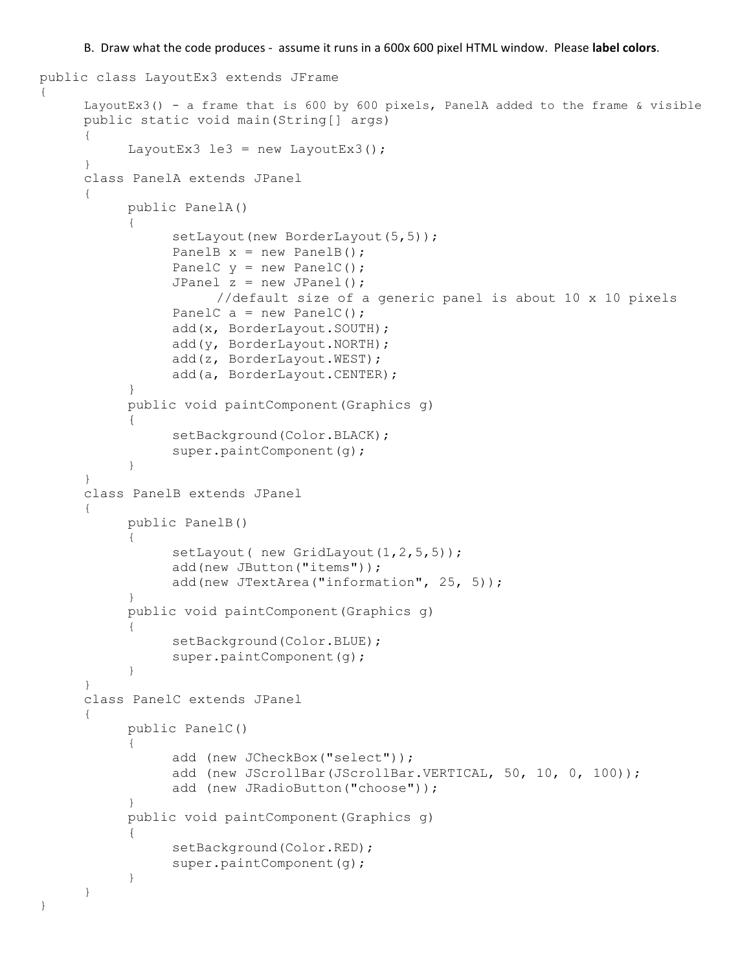B. Draw what the code produces - assume it runs in a 600x 600 pixel HTML window. Please label colors.

```
public class LayoutEx3 extends JFrame
{
     LayoutEx3() - a frame that is 600 by 600 pixels, PanelA added to the frame & visible
     public static void main(String[] args)
      {
           LayoutEx3 le3 = new LayoutEx3();
      }
     class PanelA extends JPanel
      {
           public PanelA()
           {
                 setLayout (new BorderLayout (5, 5) ) ;
                 PanelB x = new PanelB();
                 PanelC y = new PanelC();
                 JPanel z = new JPanel();
                       //default size of a generic panel is about 10 x 10 pixels
                 PanelC a = new PanelC();
                 add(x, BorderLayout.SOUTH);
                 add(y, BorderLayout.NORTH);
                 add(z, BorderLayout.WEST);
                 add(a, BorderLayout.CENTER);
           }
           public void paintComponent(Graphics g)
           {
                 setBackground(Color.BLACK) ;
                 super.paintComponent(q);
           }
      }
     class PanelB extends JPanel
      {
           public PanelB()
           {
                 setLayout ( new GridLayout (1, 2, 5, 5) );
                 add(new JButton("items"));
                 add(new JTextArea("information", 25, 5));
           }
           public void paintComponent(Graphics g)
           {
                 setBackground(Color.BLUE);
                 super.paintComponent(g);
           }
      }
     class PanelC extends JPanel
      {
           public PanelC()
           {
                 add (new JCheckBox("select"));
                 add (new JScrollBar(JScrollBar.VERTICAL, 50, 10, 0, 100));
                 add (new JRadioButton("choose"));
           }
           public void paintComponent(Graphics g)
           {
                 setBackground(Color.RED);
                 super.paintComponent(g);
           }
     }
}
```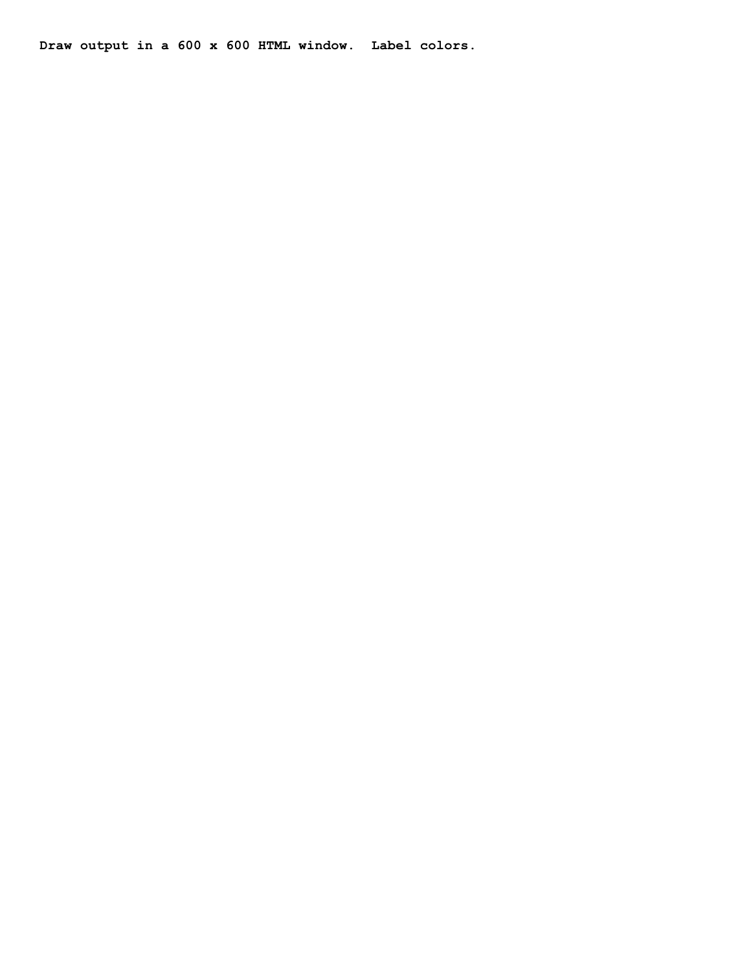**Draw output in a 600 x 600 HTML window. Label colors.**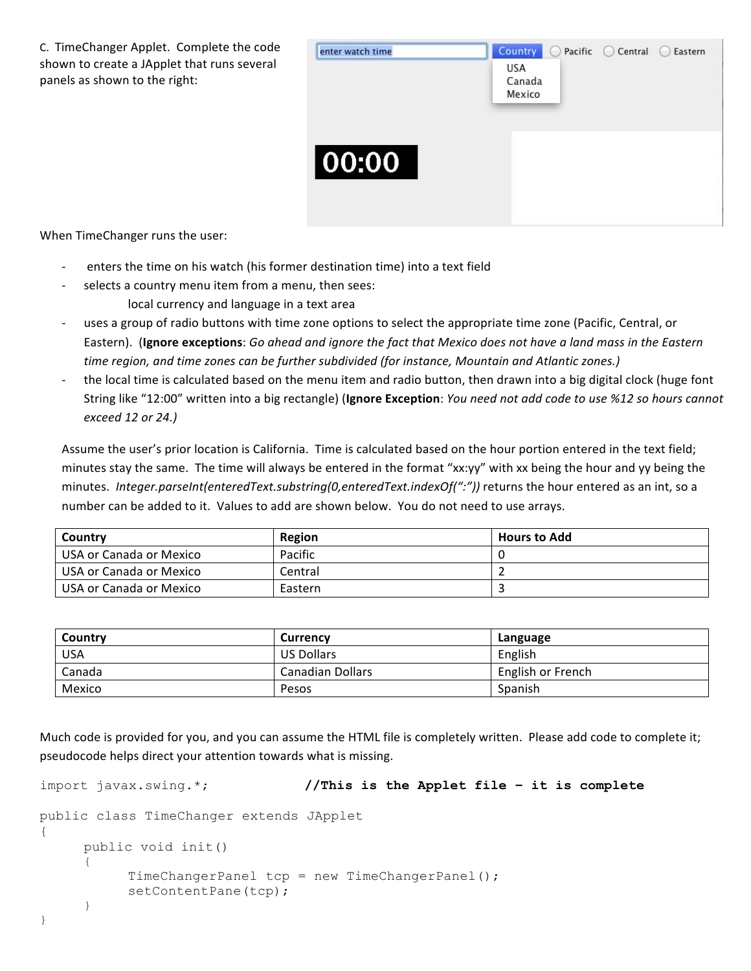C. TimeChanger Applet. Complete the code shown to create a JApplet that runs several panels as shown to the right:



When TimeChanger runs the user:

- enters the time on his watch (his former destination time) into a text field
- selects a country menu item from a menu, then sees: local currency and language in a text area
- uses a group of radio buttons with time zone options to select the appropriate time zone (Pacific, Central, or Eastern). (Ignore exceptions: Go ahead and ignore the fact that Mexico does not have a land mass in the Eastern time region, and time zones can be further subdivided (for instance, Mountain and Atlantic zones.)
- the local time is calculated based on the menu item and radio button, then drawn into a big digital clock (huge font String like "12:00" written into a big rectangle) (Ignore Exception: *You need not add code to use %12 so hours cannot exceed 12 or 24.)*

Assume the user's prior location is California. Time is calculated based on the hour portion entered in the text field; minutes stay the same. The time will always be entered in the format "xx:yy" with xx being the hour and yy being the minutes. Integer.parseInt(enteredText.substring(0,enteredText.indexOf(":")) returns the hour entered as an int, so a number can be added to it. Values to add are shown below. You do not need to use arrays.

| Country                 | Region  | <b>Hours to Add</b> |
|-------------------------|---------|---------------------|
| USA or Canada or Mexico | Pacific |                     |
| USA or Canada or Mexico | Central |                     |
| USA or Canada or Mexico | Eastern |                     |

| Country    | <b>Currency</b>         | Language          |
|------------|-------------------------|-------------------|
| <b>USA</b> | <b>US Dollars</b>       | English           |
| Canada     | <b>Canadian Dollars</b> | English or French |
| Mexico     | Pesos                   | Spanish           |

Much code is provided for you, and you can assume the HTML file is completely written. Please add code to complete it; pseudocode helps direct your attention towards what is missing.

```
import javax.swing.*; //This is the Applet file – it is complete
public class TimeChanger extends JApplet
{
     public void init()
     {
          TimeChangerPanel tcp = new TimeChangerPanel();
          setContentPane(tcp);
     }
}
```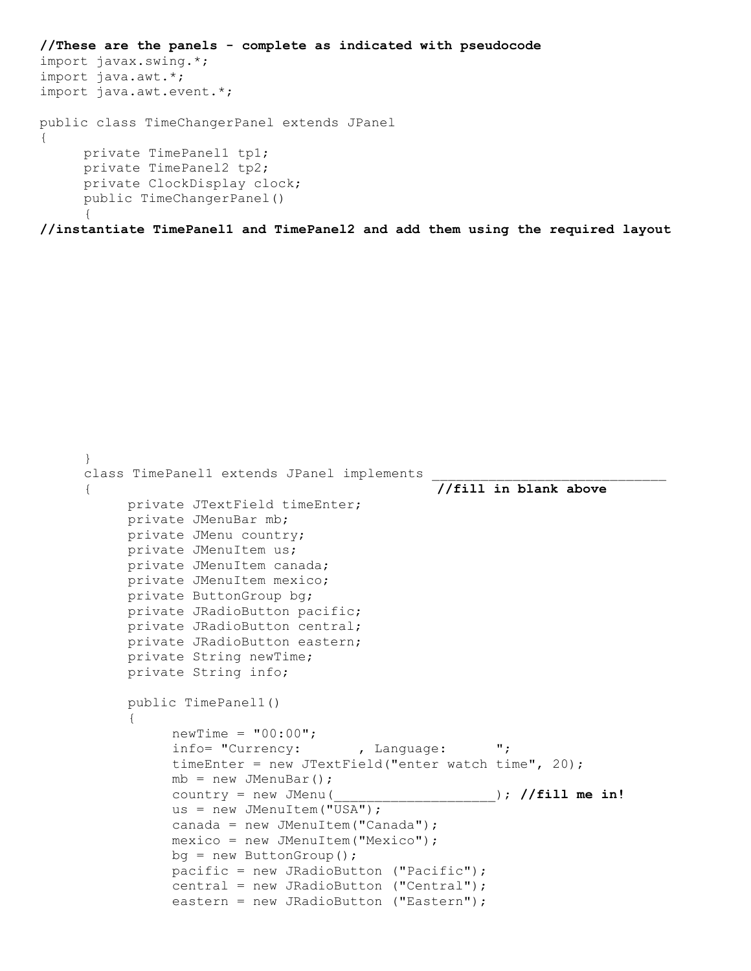```
//These are the panels - complete as indicated with pseudocode
import javax.swing.*;
import java.awt.*;
import java.awt.event.*;
public class TimeChangerPanel extends JPanel
{
     private TimePanel1 tp1;
     private TimePanel2 tp2;
     private ClockDisplay clock;
     public TimeChangerPanel()
     {
```
**//instantiate TimePanel1 and TimePanel2 and add them using the required layout**

```
}
class TimePanel1 extends JPanel implements
{ //fill in blank above 
     private JTextField timeEnter;
     private JMenuBar mb;
     private JMenu country;
     private JMenuItem us;
     private JMenuItem canada;
     private JMenuItem mexico;
     private ButtonGroup bg;
     private JRadioButton pacific;
     private JRadioButton central;
     private JRadioButton eastern;
     private String newTime;
     private String info;
     public TimePanel1()
     {
          newTime = "00:00";info= "Currency: , Language: ";
          timeEnter = new JTextField("enter watch time", 20);
          mb = new JMenuBar();
          country = new JMenu(____________________); //fill me in!
          us = new JMenuItem("USA");
          canada = new JMenuItem("Canada");
          mexico = new JMenuItem("Mexico");
          bg = new ButtonGroup();
          pacific = new JRadioButton ("Pacific");
          central = new JRadioButton ("Central");
          eastern = new JRadioButton ("Eastern");
```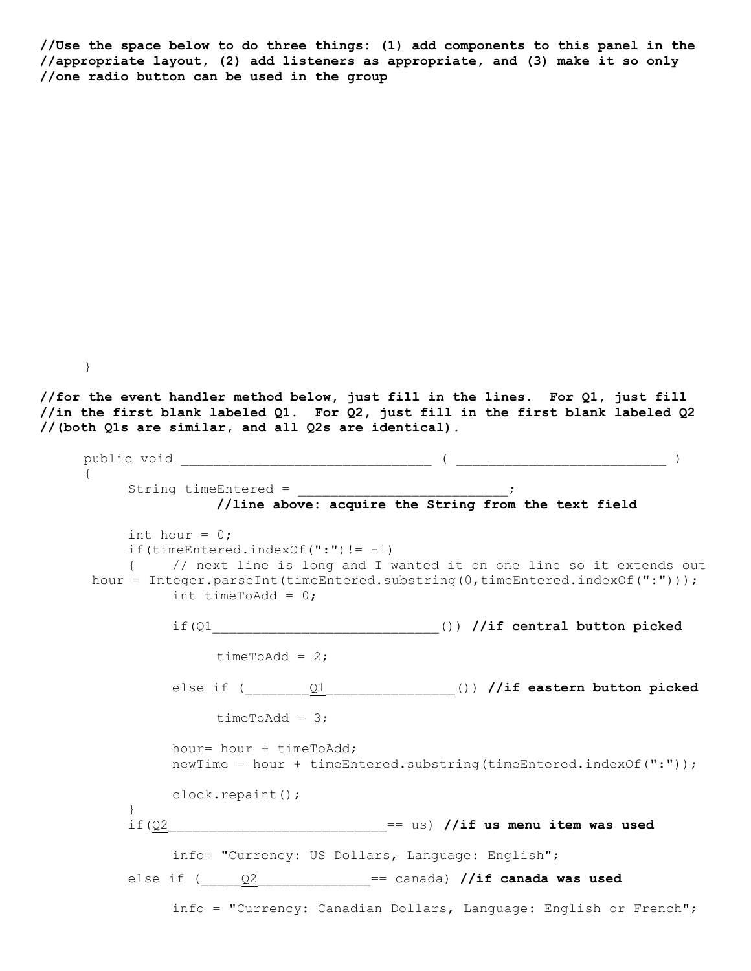**//Use the space below to do three things: (1) add components to this panel in the //appropriate layout, (2) add listeners as appropriate, and (3) make it so only //one radio button can be used in the group**

**//for the event handler method below, just fill in the lines. For Q1, just fill //in the first blank labeled Q1. For Q2, just fill in the first blank labeled Q2 //(both Q1s are similar, and all Q2s are identical).**

}

```
public void _______________________________ ( __________________________ )
{
     String timeEntered = \qquad \qquad ;//line above: acquire the String from the text field
     int hour = 0;
     if(timeEntered.indexOf(":") != -1)
     { // next line is long and I wanted it on one line so it extends out
hour = Integer.parseInt(timeEntered.substring(0,timeEntered.indexOf(":")));
          int timeToAdd = 0;
          if(Q1____________________________()) //if central button picked
               timeToAdd = 2;
          else if ( Q1 ) ()) //if eastern button picked
               timeToAdd = 3;
          hour= hour + timeToAdd;
          newTime = hour + timeEntered.substring(timeEntered.indexOf(":"));
          clock.repaint();
     }
     if(Q2___________________________== us) //if us menu item was used
          info= "Currency: US Dollars, Language: English";
     else if (_____Q2______________== canada) //if canada was used
          info = "Currency: Canadian Dollars, Language: English or French";
```